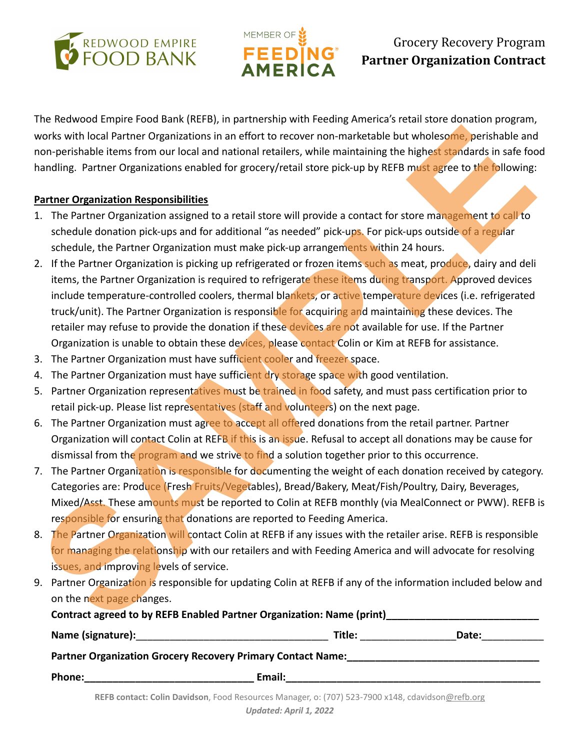



## Grocery Recovery Program **Partner Organization Contract**

The Redwood Empire Food Bank (REFB), in partnership with Feeding America's retail store donation program, works with local Partner Organizations in an effort to recover non-marketable but wholesome, perishable and non-perishable items from our local and national retailers, while maintaining the highest standards in safe food handling. Partner Organizations enabled for grocery/retail store pick-up by REFB must agree to the following:

## **Partner Organization Responsibilities**

- 1. The Partner Organization assigned to a retail store will provide a contact for store management to call to schedule donation pick-ups and for additional "as needed" pick-ups. For pick-ups outside of a regular schedule, the Partner Organization must make pick-up arrangements within 24 hours.
- 2. If the Partner Organization is picking up refrigerated or frozen items such as meat, produce, dairy and deli items, the Partner Organization is required to refrigerate these items during transport. Approved devices include temperature-controlled coolers, thermal blankets, or active temperature devices (i.e. refrigerated truck/unit). The Partner Organization is responsible for acquiring and maintaining these devices. The retailer may refuse to provide the donation if these devices are not available for use. If the Partner Organization is unable to obtain these devices, please contact Colin or Kim at REFB for assistance. works with local Partner Organizations in an effort to recover non-marketable but wholesome perishable and<br>nandline, Partner Organizations shalled for grocery/retail store pick-up by REFB music steres to the bilowing:<br>non-
- 3. The Partner Organization must have sufficient cooler and freezer space.
- 4. The Partner Organization must have sufficient dry storage space with good ventilation.
- 5. Partner Organization representatives must be trained in food safety, and must pass certification prior to retail pick-up. Please list representatives (staff and volunteers) on the next page.
- 6. The Partner Organization must agree to accept all offered donations from the retail partner. Partner Organization will contact Colin at REFB if this is an issue. Refusal to accept all donations may be cause for dismissal from the program and we strive to find a solution together prior to this occurrence.
- 7. The Partner Organization is responsible for documenting the weight of each donation received by category. Categories are: Produce (Fresh Fruits/Vegetables), Bread/Bakery, Meat/Fish/Poultry, Dairy, Beverages, Mixed/Asst. These amounts must be reported to Colin at REFB monthly (via MealConnect or PWW). REFB is responsible for ensuring that donations are reported to Feeding America.
- 8. The Partner Organization will contact Colin at REFB if any issues with the retailer arise. REFB is responsible for managing the relationship with our retailers and with Feeding America and will advocate for resolving issues, and improving levels of service.
- 9. Partner Organization is responsible for updating Colin at REFB if any of the information included below and on the next page changes.

|               | <b>Title:</b> Title:                                        | Date: |
|---------------|-------------------------------------------------------------|-------|
|               | Partner Organization Grocery Recovery Primary Contact Name: |       |
| <b>Phone:</b> | Email:                                                      |       |